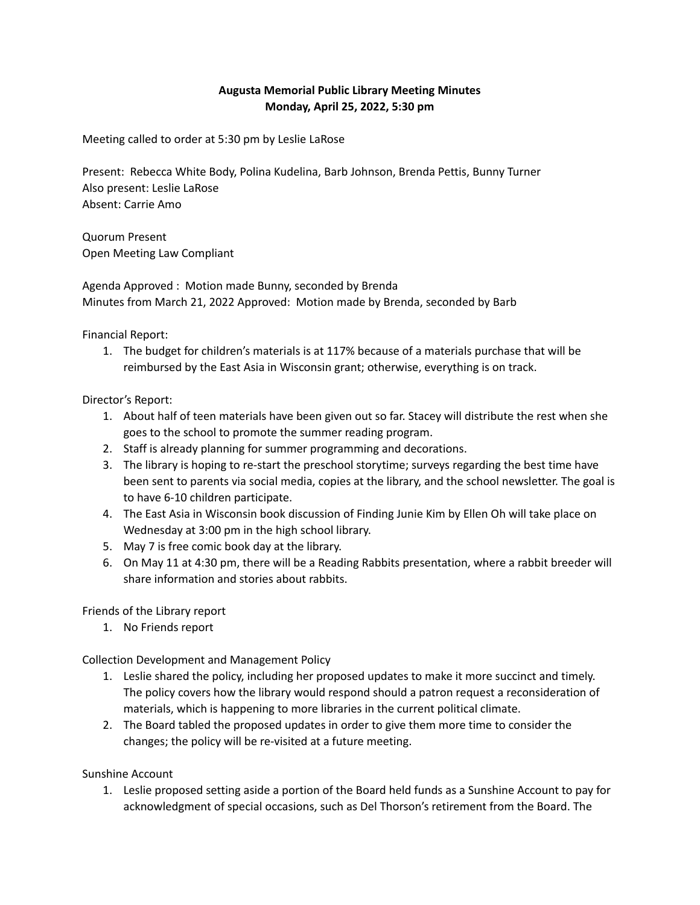## **Augusta Memorial Public Library Meeting Minutes Monday, April 25, 2022, 5:30 pm**

Meeting called to order at 5:30 pm by Leslie LaRose

Present: Rebecca White Body, Polina Kudelina, Barb Johnson, Brenda Pettis, Bunny Turner Also present: Leslie LaRose Absent: Carrie Amo

Quorum Present Open Meeting Law Compliant

Agenda Approved : Motion made Bunny, seconded by Brenda Minutes from March 21, 2022 Approved: Motion made by Brenda, seconded by Barb

Financial Report:

1. The budget for children's materials is at 117% because of a materials purchase that will be reimbursed by the East Asia in Wisconsin grant; otherwise, everything is on track.

## Director's Report:

- 1. About half of teen materials have been given out so far. Stacey will distribute the rest when she goes to the school to promote the summer reading program.
- 2. Staff is already planning for summer programming and decorations.
- 3. The library is hoping to re-start the preschool storytime; surveys regarding the best time have been sent to parents via social media, copies at the library, and the school newsletter. The goal is to have 6-10 children participate.
- 4. The East Asia in Wisconsin book discussion of Finding Junie Kim by Ellen Oh will take place on Wednesday at 3:00 pm in the high school library.
- 5. May 7 is free comic book day at the library.
- 6. On May 11 at 4:30 pm, there will be a Reading Rabbits presentation, where a rabbit breeder will share information and stories about rabbits.

## Friends of the Library report

1. No Friends report

Collection Development and Management Policy

- 1. Leslie shared the policy, including her proposed updates to make it more succinct and timely. The policy covers how the library would respond should a patron request a reconsideration of materials, which is happening to more libraries in the current political climate.
- 2. The Board tabled the proposed updates in order to give them more time to consider the changes; the policy will be re-visited at a future meeting.

Sunshine Account

1. Leslie proposed setting aside a portion of the Board held funds as a Sunshine Account to pay for acknowledgment of special occasions, such as Del Thorson's retirement from the Board. The